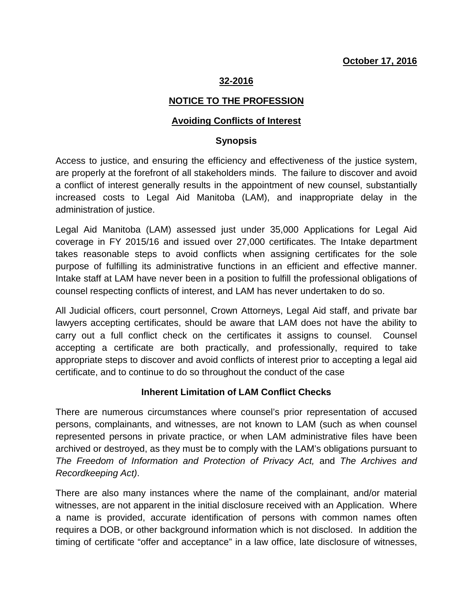### **32-2016**

### **NOTICE TO THE PROFESSION**

#### **Avoiding Conflicts of Interest**

#### **Synopsis**

Access to justice, and ensuring the efficiency and effectiveness of the justice system, are properly at the forefront of all stakeholders minds. The failure to discover and avoid a conflict of interest generally results in the appointment of new counsel, substantially increased costs to Legal Aid Manitoba (LAM), and inappropriate delay in the administration of justice.

Legal Aid Manitoba (LAM) assessed just under 35,000 Applications for Legal Aid coverage in FY 2015/16 and issued over 27,000 certificates. The Intake department takes reasonable steps to avoid conflicts when assigning certificates for the sole purpose of fulfilling its administrative functions in an efficient and effective manner. Intake staff at LAM have never been in a position to fulfill the professional obligations of counsel respecting conflicts of interest, and LAM has never undertaken to do so.

All Judicial officers, court personnel, Crown Attorneys, Legal Aid staff, and private bar lawyers accepting certificates, should be aware that LAM does not have the ability to carry out a full conflict check on the certificates it assigns to counsel. Counsel accepting a certificate are both practically, and professionally, required to take appropriate steps to discover and avoid conflicts of interest prior to accepting a legal aid certificate, and to continue to do so throughout the conduct of the case

#### **Inherent Limitation of LAM Conflict Checks**

There are numerous circumstances where counsel's prior representation of accused persons, complainants, and witnesses, are not known to LAM (such as when counsel represented persons in private practice, or when LAM administrative files have been archived or destroyed, as they must be to comply with the LAM's obligations pursuant to *The Freedom of Information and Protection of Privacy Act,* and *The Archives and Recordkeeping Act)*.

There are also many instances where the name of the complainant, and/or material witnesses, are not apparent in the initial disclosure received with an Application. Where a name is provided, accurate identification of persons with common names often requires a DOB, or other background information which is not disclosed. In addition the timing of certificate "offer and acceptance" in a law office, late disclosure of witnesses,